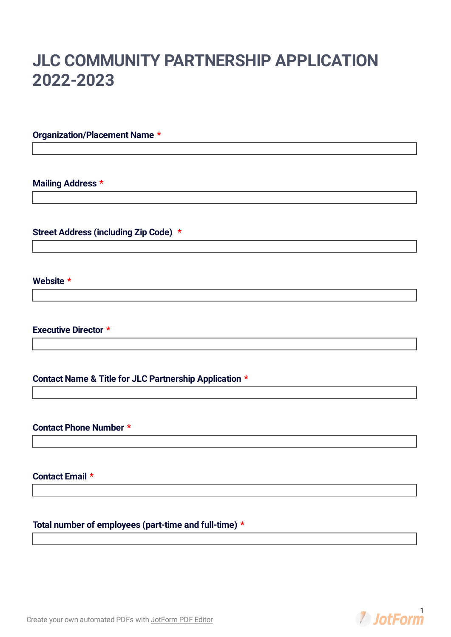# **JLC COMMUNITY PARTNERSHIP APPLICATION 2022-2023**

# **Organization/Placement Name \***

**Mailing Address \***

**Street Address (including Zip Code) \***

**Website \***

**Executive Director \***

**Contact Name & Title for JLC Partnership Application \***

**Contact Phone Number \***

**Contact Email \***

**Total number of employees (part-time and full-time) \***

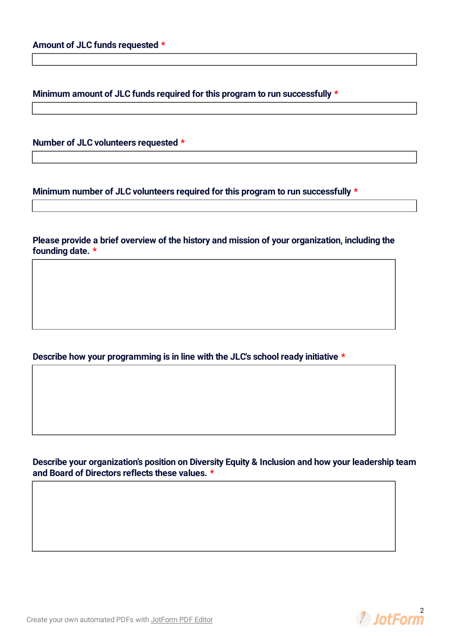**Minimum amount of JLC funds required for this program to run successfully \***

**Number of JLC volunteers requested \***

**Minimum number of JLC volunteers required for this program to run successfully \***

**Please provide a brief overview of the history and mission of your organization, including the founding date. \***

**Describe how your programming is in line with the JLC's school ready initiative \***

**Describe your organization's position on Diversity Equity & Inclusion and how your leadership team and Board of Directors reflects these values. \***



Create your own [automated](https://www.jotform.com/products/pdf-editor/?utm_source=pdf_file&utm_medium=referral&utm_term=211804495489062&utm_content=jotform_text&utm_campaign=pdf_file_branding_footer) PDFs with JotForm PDF Editor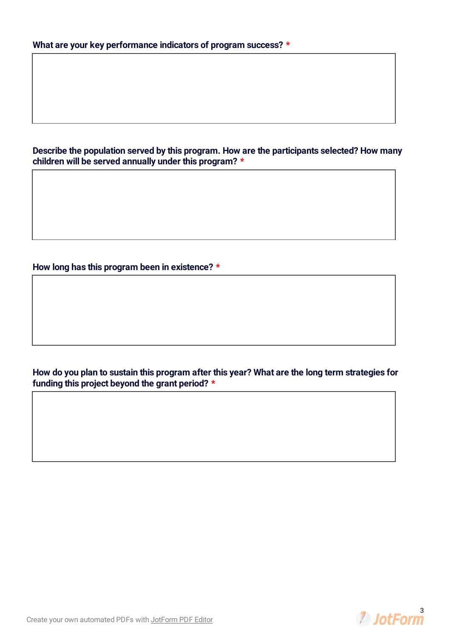**Describe the population served by this program. How are the participants selected? How many children will be served annually under this program? \***

**How long has this program been in existence? \***

**How do you plan to sustain this program after this year? What are the long term strategies for funding this project beyond the grant period? \***

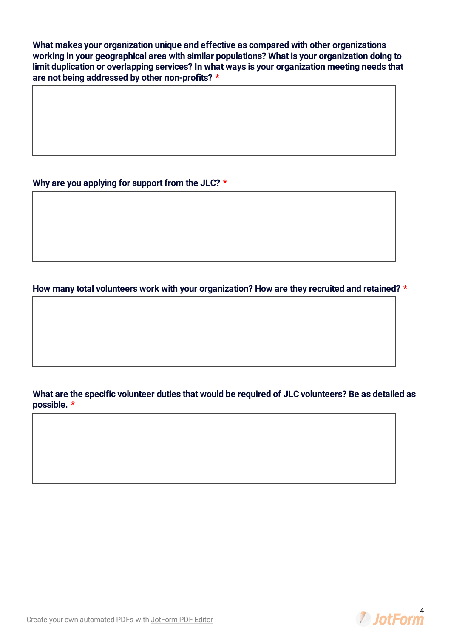**What makes your organization unique and effective as compared with other organizations working in your geographical area with similar populations? What is your organization doing to limit duplication or overlapping services? In what ways is your organization meeting needs that are not being addressed by other non-profits? \***

**Why are you applying for support from the JLC? \***

**How many total volunteers work with your organization? How are they recruited and retained? \***

**What are the specific volunteer duties that would be required of JLC volunteers? Be as detailed as possible. \***

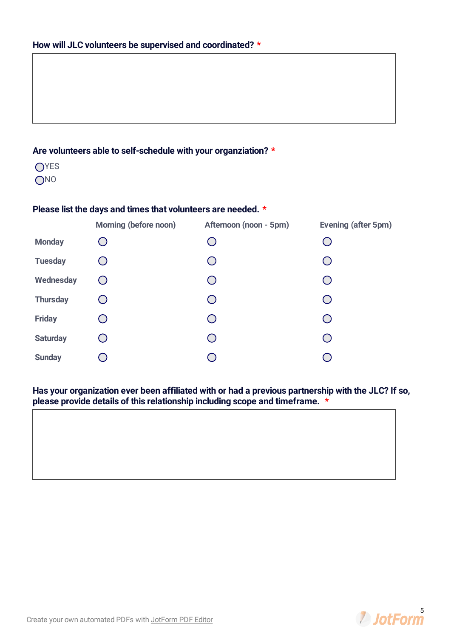# **Are volunteers able to self-schedule with your organziation? \***

**OYES** ONO

## **Please list the days and times that volunteers are needed. \***

|                 | Morning (before noon) | Afternoon (noon - 5pm) | Evening (after 5pm) |
|-----------------|-----------------------|------------------------|---------------------|
| <b>Monday</b>   |                       |                        |                     |
| <b>Tuesday</b>  |                       |                        |                     |
| Wednesday       |                       |                        |                     |
| <b>Thursday</b> |                       |                        |                     |
| <b>Friday</b>   |                       |                        |                     |
| <b>Saturday</b> |                       |                        |                     |
| <b>Sunday</b>   |                       |                        |                     |

# **Has your organization ever been affiliated with or had a previous partnership with the JLC? If so, please provide details of this relationship including scope and timeframe. \***